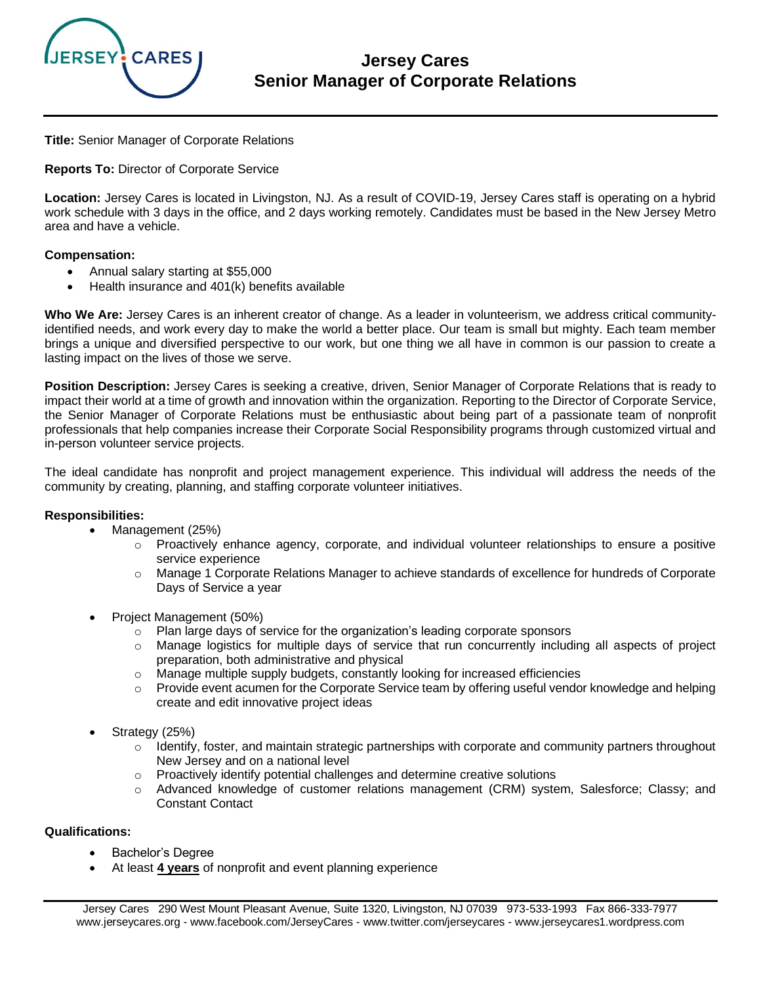

# **Jersey Cares Senior Manager of Corporate Relations**

**Title:** Senior Manager of Corporate Relations

**Reports To:** Director of Corporate Service

**Location:** Jersey Cares is located in Livingston, NJ. As a result of COVID-19, Jersey Cares staff is operating on a hybrid work schedule with 3 days in the office, and 2 days working remotely. Candidates must be based in the New Jersey Metro area and have a vehicle.

### **Compensation:**

- Annual salary starting at \$55,000
- Health insurance and 401(k) benefits available

**Who We Are:** Jersey Cares is an inherent creator of change. As a leader in volunteerism, we address critical communityidentified needs, and work every day to make the world a better place. Our team is small but mighty. Each team member brings a unique and diversified perspective to our work, but one thing we all have in common is our passion to create a lasting impact on the lives of those we serve.

**Position Description:** Jersey Cares is seeking a creative, driven, Senior Manager of Corporate Relations that is ready to impact their world at a time of growth and innovation within the organization. Reporting to the Director of Corporate Service, the Senior Manager of Corporate Relations must be enthusiastic about being part of a passionate team of nonprofit professionals that help companies increase their Corporate Social Responsibility programs through customized virtual and in-person volunteer service projects.

The ideal candidate has nonprofit and project management experience. This individual will address the needs of the community by creating, planning, and staffing corporate volunteer initiatives.

#### **Responsibilities:**

- Management (25%)
	- $\circ$  Proactively enhance agency, corporate, and individual volunteer relationships to ensure a positive service experience
	- o Manage 1 Corporate Relations Manager to achieve standards of excellence for hundreds of Corporate Days of Service a year
- Project Management (50%)
	- $\circ$  Plan large days of service for the organization's leading corporate sponsors
	- $\circ$  Manage logistics for multiple days of service that run concurrently including all aspects of project preparation, both administrative and physical
	- $\circ$  Manage multiple supply budgets, constantly looking for increased efficiencies
	- $\circ$  Provide event acumen for the Corporate Service team by offering useful vendor knowledge and helping create and edit innovative project ideas
- Strategy (25%)
	- $\circ$  Identify, foster, and maintain strategic partnerships with corporate and community partners throughout New Jersey and on a national level
	- o Proactively identify potential challenges and determine creative solutions
	- o Advanced knowledge of customer relations management (CRM) system, Salesforce; Classy; and Constant Contact

#### **Qualifications:**

- Bachelor's Degree
- At least **4 years** of nonprofit and event planning experience